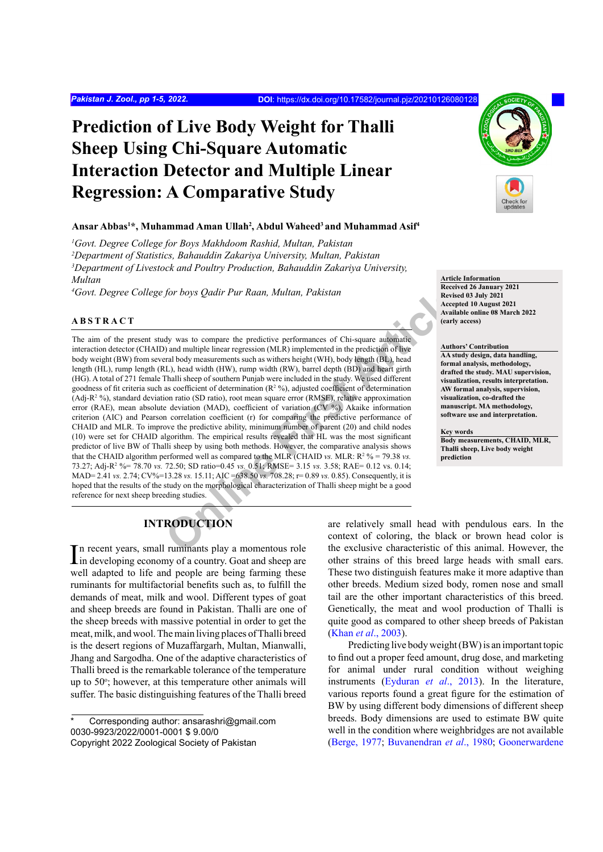# **Prediction of Live Body Weight for Thalli Sheep Using Chi-Square Automatic Interaction Detector and Multiple Linear Regression: A Comparative Study**

## **Ansar Abbas1 \*, Muhammad Aman Ullah2 , Abdul Waheed3 and Muhammad Asif4**

 *Govt. Degree College for Boys Makhdoom Rashid, Multan, Pakistan Department of Statistics, Bahauddin Zakariya University, Multan, Pakistan Department of Livestock and Poultry Production, Bahauddin Zakariya University, Multan*

*4 Govt. Degree College for boys Qadir Pur Raan, Multan, Pakistan*

### **ABSTRACT**

for boys *Qadir Pur Raan*, *Multan*, *Pakistan*<br> **Exeristing Article**<br>
Architecture<br>
Architecture<br>
Architecture encountered in the prediction of live<br>
Architecture and beam of Chi-square automatic<br>
Architecture Architectur The aim of the present study was to compare the predictive performances of Chi-square automatic interaction detector (CHAID) and multiple linear regression (MLR) implemented in the prediction of live body weight (BW) from several body measurements such as withers height (WH), body length (BL), head length (HL), rump length (RL), head width (HW), rump width (RW), barrel depth (BD) and heart girth (HG). A total of 271 female Thalli sheep of southern Punjab were included in the study. We used different goodness of fit criteria such as coefficient of determination  $(R^2 \%)$ , adjusted coefficient of determination  $(Adj-R<sup>2</sup> %)$ , standard deviation ratio (SD ratio), root mean square error  $(RMSE)$ , relative approximation error (RAE), mean absolute deviation (MAD), coefficient of variation (CV %), Akaike information criterion (AIC) and Pearson correlation coefficient (r) for comparing the predictive performance of CHAID and MLR. To improve the predictive ability, minimum number of parent (20) and child nodes (10) were set for CHAID algorithm. The empirical results revealed that HL was the most significant predictor of live BW of Thalli sheep by using both methods. However, the comparative analysis shows that the CHAID algorithm performed well as compared to the MLR (CHAID *vs.* MLR:  $R^2$  % = 79.38 *vs.* 73.27; Adj-R2 %= 78.70 *vs.* 72.50; SD ratio=0.45 *vs.* 0.51; RMSE= 3.15 *vs.* 3.58; RAE= 0.12 vs. 0.14; MAD= 2.41 *vs.* 2.74; CV%=13.28 *vs.* 15.11; AIC =638.50 *vs.* 708.28; r= 0.89 *vs.* 0.85). Consequently, it is hoped that the results of the study on the morphological characterization of Thalli sheep might be a good reference for next sheep breeding studies.

# **INTRODUCTION**

In recent years, small ruminants play a momentous role<br>in developing economy of a country. Goat and sheep are in developing economy of a country. Goat and sheep are well adapted to life and people are being farming these ruminants for multifactorial benefits such as, to fulfill the demands of meat, milk and wool. Different types of goat and sheep breeds are found in Pakistan. Thalli are one of the sheep breeds with massive potential in order to get the meat, milk, and wool. The main living places of Thalli breed is the desert regions of Muzaffargarh, Multan, Mianwalli, Jhang and Sargodha. One of the adaptive characteristics of Thalli breed is the remarkable tolerance of the temperature up to 50°; however, at this temperature other animals will suffer. The basic distinguishing features of the Thalli breed



#### **Article Information**

**Received 26 January 2021 Revised 03 July 2021 Accepted 10 August 2021 Available online 08 March 2022 (early access)**

#### **Authors' Contribution**

**AA study design, data handling, formal analysis, methodology, drafted the study. MAU supervision, visualization, results interpretation. AW formal analysis, supervision, visualization, co-drafted the manuscript. MA methodology, software use and interpretation.**

#### **Key words**

**Body measurements, CHAID, MLR, Thalli sheep, Live body weight prediction**

are relatively small head with pendulous ears. In the context of coloring, the black or brown head color is the exclusive characteristic of this animal. However, the other strains of this breed large heads with small ears. These two distinguish features make it more adaptive than other breeds. Medium sized body, romen nose and small tail are the other important characteristics of this breed. Genetically, the meat and wool production of Thalli is quite good as compared to other sheep breeds of Pakistan (Khan *et al*[., 2003](#page-3-0)).

Predicting live body weight (BW) is an important topic to find out a proper feed amount, drug dose, and marketing for animal under rural condition without weighing instruments [\(Eyduran](#page-3-1) *et al*., 2013). In the literature, various reports found a great figure for the estimation of BW by using different body dimensions of different sheep breeds. Body dimensions are used to estimate BW quite well in the condition where weighbridges are not available [\(Berge, 1977;](#page-3-2) [Buvanendran](#page-3-3) *et al*., 1980; [Goonerwardene](#page-3-4)

Corresponding author: ansarashri@gmail.com 0030-9923/2022/0001-0001 \$ 9.00/0 Copyright 2022 Zoological Society of Pakistan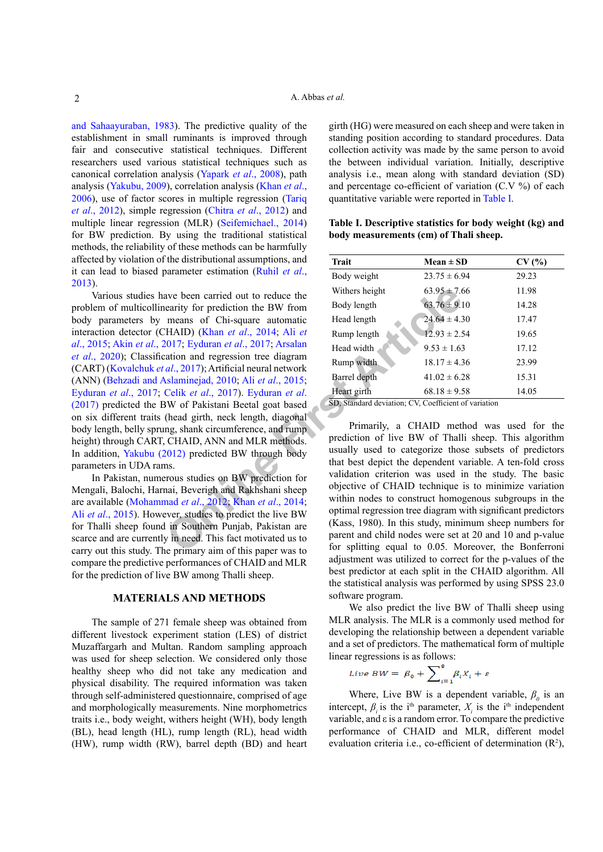[and Sahaayuraban, 1983](#page-3-4)). The predictive quality of the establishment in small ruminants is improved through fair and consecutive statistical techniques. Different researchers used various statistical techniques such as canonical correlation analysis ([Yapark](#page-4-0) *et al*., 2008), path analysis ([Yakubu, 2009](#page-4-1)), correlation analysis [\(Khan](#page-4-2) *et al*., [2006\)](#page-4-2), use of factor scores in multiple regression [\(Tariq](#page-4-3) *et al*[., 2012\)](#page-4-3), simple regression (Chitra *et al*[., 2012\)](#page-3-5) and multiple linear regression (MLR) ([Seifemichael., 2014\)](#page-4-4) for BW prediction. By using the traditional statistical methods, the reliability of these methods can be harmfully affected by violation of the distributional assumptions, and it can lead to biased parameter estimation ([Ruhil](#page-4-5) *et al*., [2013\)](#page-4-5).

ave been carried out to reduce the<br>
earity for prediction the BW from<br>
The and Solve length<br>
The First AID (Khan *et al.*, 2014; Ali *et*<br>
The Body length<br>
The Body length<br>
Fall (24.64 ± 4.5<br>
(14.7) (Khan *et al.*, 2017); Various studies have been carried out to reduce the problem of multicollinearity for prediction the BW from body parameters by means of Chi-square automatic interaction detector (CHAID) (Khan *et al*., 2014; Ali *et al*[., 2015](#page-3-6); Akin *et al*[., 2017](#page-3-7); Eyduran *et al*., 2017; Arsalan *et al*[., 2020](#page-3-9)); Classification and regression tree diagram (CART) (Kovalchuk *et al*., 2017); Artificial neural network (ANN) [\(Behzadi and Aslaminejad, 2010;](#page-3-10) Ali *et al*., 2015; [Eyduran](#page-3-8) *et al*., 2017; Celik *et al*., 2017). Eyduran *et al*. [\(2017\)](#page-3-8) predicted the BW of Pakistani Beetal goat based on six different traits (head girth, neck length, diagonal body length, belly sprung, shank circumference, and rump height) through CART, CHAID, ANN and MLR methods. In addition, [Yakubu \(2012\)](#page-4-8) predicted BW through body parameters in UDA rams.

In Pakistan, numerous studies on BW prediction for Mengali, Balochi, Harnai, Beverigh and Rakhshani sheep are available (Mohammad *et al*., 2012; Khan *et al*., 2014; Ali *et al*[., 2015](#page-3-6)). However, studies to predict the live BW for Thalli sheep found in Southern Punjab, Pakistan are scarce and are currently in need. This fact motivated us to carry out this study. The primary aim of this paper was to compare the predictive performances of CHAID and MLR for the prediction of live BW among Thalli sheep.

### **MATERIALS AND METHODS**

The sample of 271 female sheep was obtained from different livestock experiment station (LES) of district Muzaffargarh and Multan. Random sampling approach was used for sheep selection. We considered only those healthy sheep who did not take any medication and physical disability. The required information was taken through self-administered questionnaire, comprised of age and morphologically measurements. Nine morphometrics traits i.e., body weight, withers height (WH), body length (BL), head length (HL), rump length (RL), head width (HW), rump width (RW), barrel depth (BD) and heart

girth (HG) were measured on each sheep and were taken in standing position according to standard procedures. Data collection activity was made by the same person to avoid the between individual variation. Initially, descriptive analysis i.e., mean along with standard deviation (SD) and percentage co-efficient of variation (C.V %) of each quantitative variable were reported in [Table I.](#page-1-0)

<span id="page-1-0"></span>**Table I. Descriptive statistics for body weight (kg) and body measurements (cm) of Thali sheep.**

| <b>Trait</b>   | $Mean \pm SD$    | CV(%) |  |  |  |  |  |  |
|----------------|------------------|-------|--|--|--|--|--|--|
| Body weight    | $23.75 \pm 6.94$ | 29.23 |  |  |  |  |  |  |
| Withers height | $63.95 \pm 7.66$ | 11.98 |  |  |  |  |  |  |
| Body length    | $63.76 \pm 9.10$ | 14.28 |  |  |  |  |  |  |
| Head length    | $24.64 \pm 4.30$ | 17.47 |  |  |  |  |  |  |
| Rump length    | $12.93 \pm 2.54$ | 19.65 |  |  |  |  |  |  |
| Head width     | $9.53 \pm 1.63$  | 17.12 |  |  |  |  |  |  |
| Rump width     | $18.17 \pm 4.36$ | 23.99 |  |  |  |  |  |  |
| Barrel depth   | $41.02 \pm 6.28$ | 15.31 |  |  |  |  |  |  |
| Heart girth    | $68.18 \pm 9.58$ | 14.05 |  |  |  |  |  |  |
|                |                  |       |  |  |  |  |  |  |

SD, Standard deviation; CV, Coefficient of variation

Primarily, a CHAID method was used for the prediction of live BW of Thalli sheep. This algorithm usually used to categorize those subsets of predictors that best depict the dependent variable. A ten-fold cross validation criterion was used in the study. The basic objective of CHAID technique is to minimize variation within nodes to construct homogenous subgroups in the optimal regression tree diagram with significant predictors (Kass, 1980). In this study, minimum sheep numbers for parent and child nodes were set at 20 and 10 and p-value for splitting equal to 0.05. Moreover, the Bonferroni adjustment was utilized to correct for the p-values of the best predictor at each split in the CHAID algorithm. All the statistical analysis was performed by using SPSS 23.0 software program.

We also predict the live BW of Thalli sheep using MLR analysis. The MLR is a commonly used method for developing the relationship between a dependent variable and a set of predictors. The mathematical form of multiple linear regressions is as follows:

$$
Live\ BW = \beta_0 + \sum_{i=1}^{8} \beta_i X_i + \varepsilon
$$

Where, Live BW is a dependent variable,  $\beta_0$  is an intercept,  $\beta$ <sub>*i*</sub> is the i<sup>th</sup> parameter,  $X$ <sup>*i*</sup> is the i<sup>th</sup> independent variable, and ε is a random error. To compare the predictive performance of CHAID and MLR, different model evaluation criteria i.e., co-efficient of determination  $(R^2)$ ,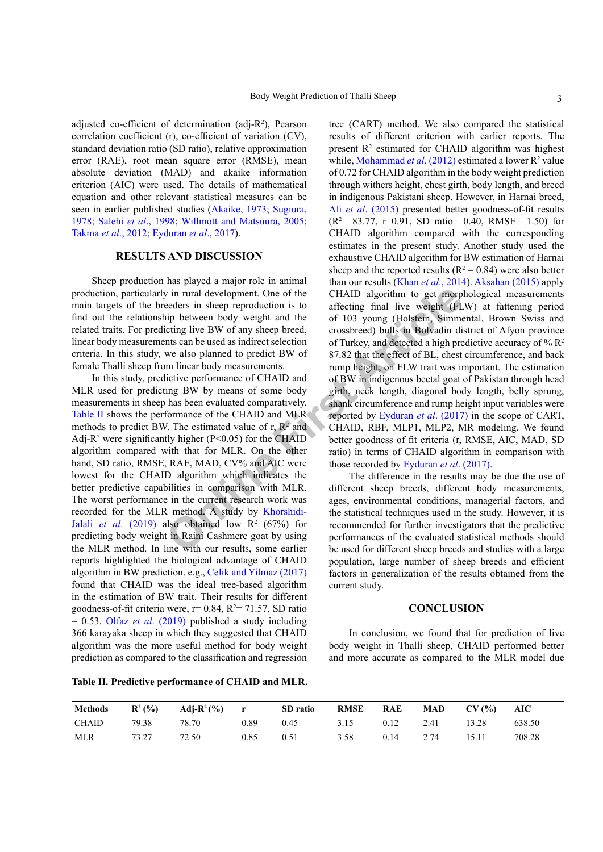adjusted co-efficient of determination (adj-R<sup>2</sup> ), Pearson correlation coefficient (r), co-efficient of variation (CV), standard deviation ratio (SD ratio), relative approximation error (RAE), root mean square error (RMSE), mean absolute deviation (MAD) and akaike information criterion (AIC) were used. The details of mathematical equation and other relevant statistical measures can be seen in earlier published studies ([Akaike, 1973](#page-3-12); [Sugiura,](#page-4-10) [1978;](#page-4-10) Salehi *et al*[., 1998;](#page-4-11) [Willmott and Matsuura, 2005](#page-4-12); [Takma](#page-4-13) *et al*., 2012; [Eyduran](#page-3-8) *et al*., 2017).

# **RESULTS AND DISCUSSION**

Sheep production has played a major role in animal production, particularly in rural development. One of the main targets of the breeders in sheep reproduction is to find out the relationship between body weight and the related traits. For predicting live BW of any sheep breed, linear body measurements can be used as indirect selection criteria. In this study, we also planned to predict BW of female Thalli sheep from linear body measurements.

y in rural development. One of the<br>
certains are development of the expected in sheep reproduction is to<br>
diffecting final live weight (FL<br>
in between body weight and the of 103 young (Holstein, Simme<br>
this can be used as In this study, predictive performance of CHAID and MLR used for predicting BW by means of some body measurements in sheep has been evaluated comparatively. [Table II](#page-2-0) shows the performance of the CHAID and MLR methods to predict BW. The estimated value of  $r$ ,  $\mathbb{R}^2$  and Adj- $R^2$  were significantly higher (P<0.05) for the CHAID algorithm compared with that for MLR. On the other hand, SD ratio, RMSE, RAE, MAD, CV% and AIC were lowest for the CHAID algorithm which indicates the better predictive capabilities in comparison with MLR. The worst performance in the current research work was recorded for the MLR method. A study by Khorshidi-Jalali *et al.* (2019) also obtained low  $R^2$  (67%) for predicting body weight in Raini Cashmere goat by using the MLR method. In line with our results, some earlier reports highlighted the biological advantage of CHAID algorithm in BW prediction. e.g., [Celik and Yilmaz \(2017\)](#page-3-13) found that CHAID was the ideal tree-based algorithm in the estimation of BW trait. Their results for different goodness-of-fit criteria were,  $r = 0.84$ ,  $R^2 = 71.57$ , SD ratio = 0.53. Olfaz *et al*. (2019) published a study including 366 karayaka sheep in which they suggested that CHAID algorithm was the more useful method for body weight prediction as compared to the classification and regression

tree (CART) method. We also compared the statistical results of different criterion with earlier reports. The present  $\mathbb{R}^2$  estimated for CHAID algorithm was highest while, [Mohammad](#page-4-9) *et al.* (2012) estimated a lower R<sup>2</sup> value of 0.72 for CHAID algorithm in the body weight prediction through withers height, chest girth, body length, and breed in indigenous Pakistani sheep. However, in Harnai breed, Ali *et al*[. \(2015\)](#page-3-6) presented better goodness-of-fit results  $(R<sup>2</sup>= 83.77, r=0.91, SD ratio= 0.40, RMSE= 1.50)$  for CHAID algorithm compared with the corresponding estimates in the present study. Another study used the exhaustive CHAID algorithm for BW estimation of Harnai sheep and the reported results ( $R^2 = 0.84$ ) were also better than our results (Khan *et al*[., 2014\)](#page-4-6). [Aksahan \(2015\)](#page-3-14) apply CHAID algorithm to get morphological measurements affecting final live weight (FLW) at fattening period of 103 young (Holstein, Simmental, Brown Swiss and crossbreed) bulls in Bolvadin district of Afyon province of Turkey, and detected a high predictive accuracy of %  $\mathbb{R}^2$ 87.82 that the effect of BL, chest circumference, and back rump height, on FLW trait was important. The estimation of BW in indigenous beetal goat of Pakistan through head girth, neck length, diagonal body length, belly sprung, shank circumference and rump height input variables were reported by Eyduran *et al*. (2017) in the scope of CART, CHAID, RBF, MLP1, MLP2, MR modeling. We found better goodness of fit criteria (r, RMSE, AIC, MAD, SD ratio) in terms of CHAID algorithm in comparison with those recorded by Eyduran *et al*. (2017).

The difference in the results may be due the use of different sheep breeds, different body measurements, ages, environmental conditions, managerial factors, and the statistical techniques used in the study. However, it is recommended for further investigators that the predictive performances of the evaluated statistical methods should be used for different sheep breeds and studies with a large population, large number of sheep breeds and efficient factors in generalization of the results obtained from the current study.

# **CONCLUSION**

In conclusion, we found that for prediction of live body weight in Thalli sheep, CHAID performed better and more accurate as compared to the MLR model due

<span id="page-2-0"></span>**Table II. Predictive performance of CHAID and MLR.**

| <b>Methods</b><br>the control of the control of the control of | $R^2$ (%) | Adj- $R^2$ (%) | r    | SD ratio | <b>RMSE</b> | RAE  | MAD  | CV(%) | AIC    |
|----------------------------------------------------------------|-----------|----------------|------|----------|-------------|------|------|-------|--------|
| CHAID                                                          | 79.38     | 78.70          | 0.89 | 0.45     | 3.15        | 0.12 | 2.41 | 13.28 | 638.50 |
| MLR                                                            | 73.27     | 72.50          | 0.85 | 0.51     | 3.58        | 0.14 | 2.74 | .5.11 | 708.28 |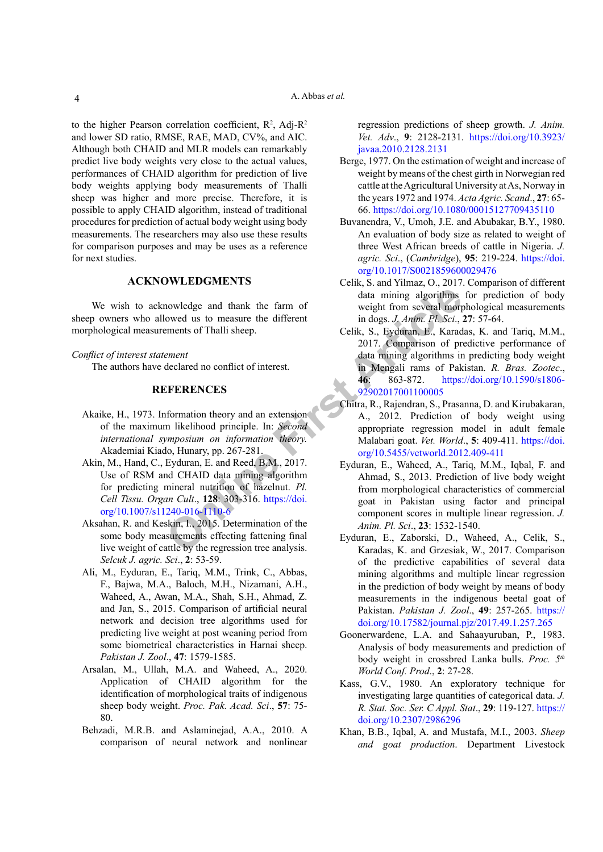to the higher Pearson correlation coefficient,  $R^2$ , Adj- $R^2$ and lower SD ratio, RMSE, RAE, MAD, CV%, and AIC. Although both CHAID and MLR models can remarkably predict live body weights very close to the actual values, performances of CHAID algorithm for prediction of live body weights applying body measurements of Thalli sheep was higher and more precise. Therefore, it is possible to apply CHAID algorithm, instead of traditional procedures for prediction of actual body weight using body measurements. The researchers may also use these results for comparison purposes and may be uses as a reference for next studies.

# **ACKNOWLEDGMENTS**

We wish to acknowledge and thank the farm of sheep owners who allowed us to measure the different morphological measurements of Thalli sheep.

*Conflict of interest statement*

The authors have declared no conflict of interest.

# **REFERENCES**

- <span id="page-3-12"></span>Akaike, H., 1973. Information theory and an extension of the maximum likelihood principle. In: *Second international symposium on information theory.*  Akademiai Kiado, Hunary, pp. 267-281.
- <span id="page-3-7"></span>Akin, M., Hand, C., Eyduran, E. and Reed, B.M., 2017. Use of RSM and CHAID data mining algorithm for predicting mineral nutrition of hazelnut. *Pl. Cell Tissu. Organ Cult*., **128**: 303-316. https://doi. [org/10.1007/s11240-016-1110-6](https://doi.org/10.1007/s11240-016-1110-6)
- <span id="page-3-14"></span>Aksahan, R. and Keskin, I., 2015. Determination of the some body measurements effecting fattening final live weight of cattle by the regression tree analysis. *Selcuk J. agric. Sci*., **2**: 53-59.
- <span id="page-3-6"></span>Ali, M., Eyduran, E., Tariq, M.M., Trink, C., Abbas, F., Bajwa, M.A., Baloch, M.H., Nizamani, A.H., Waheed, A., Awan, M.A., Shah, S.H., Ahmad, Z. and Jan, S., 2015. Comparison of artificial neural network and decision tree algorithms used for predicting live weight at post weaning period from some biometrical characteristics in Harnai sheep. *Pakistan J. Zool*., **47**: 1579-1585.
- <span id="page-3-9"></span>Arsalan, M., Ullah, M.A. and Waheed, A., 2020. Application of CHAID algorithm for the identification of morphological traits of indigenous sheep body weight. *Proc. Pak. Acad. Sci*., **57**: 75- 80.
- <span id="page-3-10"></span><span id="page-3-0"></span>Behzadi, M.R.B. and Aslaminejad, A.A., 2010. A comparison of neural network and nonlinear

regression predictions of sheep growth. *J. Anim. Vet. Adv*., **9**: 2128-2131. [https://doi.org/10.3923/](https://doi.org/10.3923/javaa.2010.2128.2131) [javaa.2010.2128.2131](https://doi.org/10.3923/javaa.2010.2128.2131)

- <span id="page-3-2"></span>Berge, 1977. On the estimation of weight and increase of weight by means of the chest girth in Norwegian red cattle at the Agricultural University at As, Norway in the years 1972 and 1974. *Acta Agric. Scand*., **27**: 65- 66.<https://doi.org/10.1080/00015127709435110>
- <span id="page-3-3"></span>Buvanendra, V., Umoh, J.E. and Abubakar, B.Y., 1980. An evaluation of body size as related to weight of three West African breeds of cattle in Nigeria. *J. agric. Sci*., (*Cambridge*), **95**: 219-224. [https://doi.](https://doi.org/10.1017/S0021859600029476) [org/10.1017/S0021859600029476](https://doi.org/10.1017/S0021859600029476)
- <span id="page-3-13"></span>Celik, S. and Yilmaz, O., 2017. Comparison of different data mining algorithms for prediction of body weight from several morphological measurements in dogs. *J. Anim. Pl. Sci*., **27**: 57-64.
- <span id="page-3-11"></span>Celik, S., Eyduran, E., Karadas, K. and Tariq, M.M., 2017. Comparison of predictive performance of data mining algorithms in predicting body weight in Mengali rams of Pakistan. *R. Bras. Zootec*., **46**: 863-872. [https://doi.org/10.1590/s1806-](https://doi.org/10.1590/s1806-92902017001100005) 92902017001100005
- <span id="page-3-8"></span><span id="page-3-5"></span><span id="page-3-4"></span><span id="page-3-1"></span>Chitra, R., Rajendran, S., Prasanna, D. and Kirubakaran, A., 2012. Prediction of body weight using appropriate regression model in adult female Malabari goat. *Vet. World*., **5**: 409-411. [https://doi.](https://doi.org/10.5455/vetworld.2012.409-411) org/10.5455/vetworld.2012.409-411
- Nowledge and thank the farm of<br>
online and thank the farm of<br>
online and the different<br>
only are the different<br>
only are the different<br>
only also been also the properties.<br>
FERENCES<br>
FORENCES<br>
only also are the state of in Eyduran, E., Waheed, A., Tariq, M.M., Iqbal, F. and Ahmad, S., 2013. Prediction of live body weight from morphological characteristics of commercial goat in Pakistan using factor and principal component scores in multiple linear regression. *J. Anim. Pl. Sci*., **23**: 1532-1540.
	- Eyduran, E., Zaborski, D., Waheed, A., Celik, S., Karadas, K. and Grzesiak, W., 2017. Comparison of the predictive capabilities of several data mining algorithms and multiple linear regression in the prediction of body weight by means of body measurements in the indigenous beetal goat of Pakistan. *Pakistan J. Zool*., **49**: 257-265. [https://](https://doi.org/10.17582/journal.pjz/2017.49.1.257.265) [doi.org/10.17582/journal.pjz/2017.49.1.257.265](https://doi.org/10.17582/journal.pjz/2017.49.1.257.265)
	- Goonerwardene, L.A. and Sahaayuruban, P., 1983. Analysis of body measurements and prediction of body weight in crossbred Lanka bulls. *Proc. 5th World Conf. Prod*., **2**: 27-28.
	- Kass, G.V., 1980. An exploratory technique for investigating large quantities of categorical data. *J. R. Stat. Soc. Ser. C Appl. Stat*., **29**: 119-127. [https://](https://doi.org/10.2307/2986296) [doi.org/10.2307/2986296](https://doi.org/10.2307/2986296)
	- Khan, B.B., Iqbal, A. and Mustafa, M.I., 2003. *Sheep and goat production*. Department Livestock